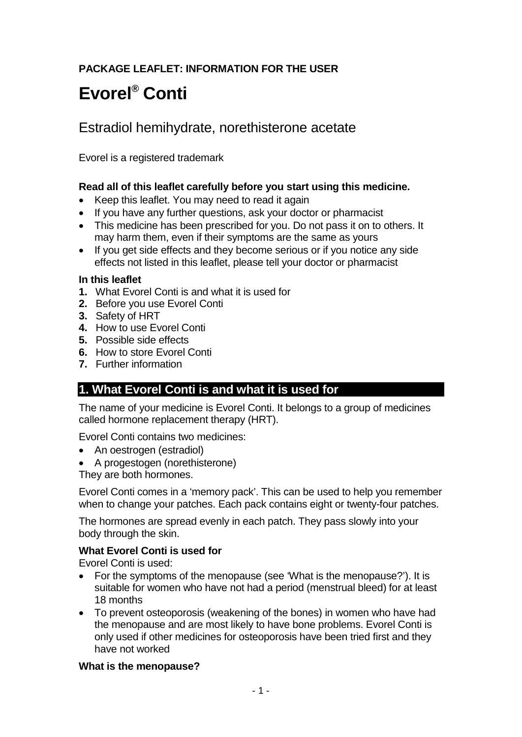# **PACKAGE LEAFLET: INFORMATION FOR THE USER**

# **Evorel® Conti**

# Estradiol hemihydrate, norethisterone acetate

Evorel is a registered trademark

## **Read all of this leaflet carefully before you start using this medicine.**

- Keep this leaflet. You may need to read it again
- If you have any further questions, ask your doctor or pharmacist
- This medicine has been prescribed for you. Do not pass it on to others. It may harm them, even if their symptoms are the same as yours
- If you get side effects and they become serious or if you notice any side effects not listed in this leaflet, please tell your doctor or pharmacist

#### **In this leaflet**

- **1.** What Evorel Conti is and what it is used for
- **2.** Before you use Evorel Conti
- **3.** Safety of HRT
- **4.** How to use Evorel Conti
- **5.** Possible side effects
- **6.** How to store Evorel Conti
- **7.** Further information

# **1. What Evorel Conti is and what it is used for**

The name of your medicine is Evorel Conti. It belongs to a group of medicines called hormone replacement therapy (HRT).

Evorel Conti contains two medicines:

- An oestrogen (estradiol)
- A progestogen (norethisterone)

They are both hormones.

Evorel Conti comes in a 'memory pack'. This can be used to help you remember when to change your patches. Each pack contains eight or twenty-four patches.

The hormones are spread evenly in each patch. They pass slowly into your body through the skin.

#### **What Evorel Conti is used for**

Evorel Conti is used:

- For the symptoms of the menopause (see 'What is the menopause?'). It is suitable for women who have not had a period (menstrual bleed) for at least 18 months
- To prevent osteoporosis (weakening of the bones) in women who have had the menopause and are most likely to have bone problems. Evorel Conti is only used if other medicines for osteoporosis have been tried first and they have not worked

#### **What is the menopause?**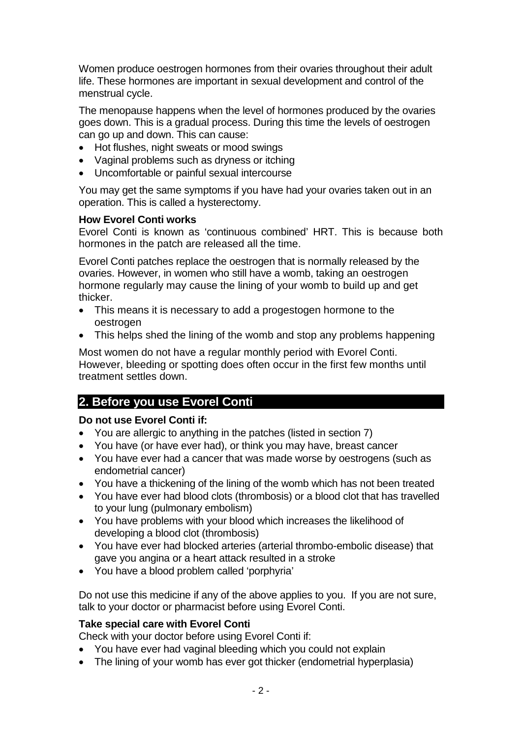Women produce oestrogen hormones from their ovaries throughout their adult life. These hormones are important in sexual development and control of the menstrual cycle.

The menopause happens when the level of hormones produced by the ovaries goes down. This is a gradual process. During this time the levels of oestrogen can go up and down. This can cause:

- Hot flushes, night sweats or mood swings
- Vaginal problems such as dryness or itching
- Uncomfortable or painful sexual intercourse

You may get the same symptoms if you have had your ovaries taken out in an operation. This is called a hysterectomy.

#### **How Evorel Conti works**

Evorel Conti is known as 'continuous combined' HRT. This is because both hormones in the patch are released all the time.

Evorel Conti patches replace the oestrogen that is normally released by the ovaries. However, in women who still have a womb, taking an oestrogen hormone regularly may cause the lining of your womb to build up and get thicker.

- This means it is necessary to add a progestogen hormone to the oestrogen
- This helps shed the lining of the womb and stop any problems happening

Most women do not have a regular monthly period with Evorel Conti. However, bleeding or spotting does often occur in the first few months until treatment settles down.

# **2. Before you use Evorel Conti**

#### **Do not use Evorel Conti if:**

- You are allergic to anything in the patches (listed in section 7)
- You have (or have ever had), or think you may have, breast cancer
- You have ever had a cancer that was made worse by oestrogens (such as endometrial cancer)
- You have a thickening of the lining of the womb which has not been treated
- You have ever had blood clots (thrombosis) or a blood clot that has travelled to your lung (pulmonary embolism)
- You have problems with your blood which increases the likelihood of developing a blood clot (thrombosis)
- You have ever had blocked arteries (arterial thrombo-embolic disease) that gave you angina or a heart attack resulted in a stroke
- You have a blood problem called 'porphyria'

Do not use this medicine if any of the above applies to you. If you are not sure, talk to your doctor or pharmacist before using Evorel Conti.

#### **Take special care with Evorel Conti**

Check with your doctor before using Evorel Conti if:

- You have ever had vaginal bleeding which you could not explain
- The lining of your womb has ever got thicker (endometrial hyperplasia)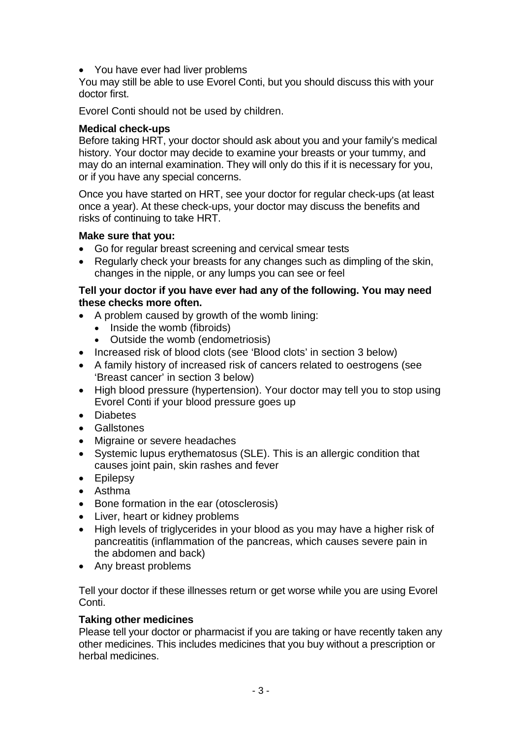• You have ever had liver problems

You may still be able to use Evorel Conti, but you should discuss this with your doctor first.

Evorel Conti should not be used by children.

## **Medical check-ups**

Before taking HRT, your doctor should ask about you and your family's medical history. Your doctor may decide to examine your breasts or your tummy, and may do an internal examination. They will only do this if it is necessary for you, or if you have any special concerns.

Once you have started on HRT, see your doctor for regular check-ups (at least once a year). At these check-ups, your doctor may discuss the benefits and risks of continuing to take HRT.

#### **Make sure that you:**

- Go for regular breast screening and cervical smear tests
- Regularly check your breasts for any changes such as dimpling of the skin, changes in the nipple, or any lumps you can see or feel

#### **Tell your doctor if you have ever had any of the following. You may need these checks more often.**

- A problem caused by growth of the womb lining:
	- Inside the womb (fibroids)
	- Outside the womb (endometriosis)
- Increased risk of blood clots (see 'Blood clots' in section 3 below)
- A family history of increased risk of cancers related to oestrogens (see 'Breast cancer' in section 3 below)
- High blood pressure (hypertension). Your doctor may tell you to stop using Evorel Conti if your blood pressure goes up
- Diabetes
- Gallstones
- Migraine or severe headaches
- Systemic lupus erythematosus (SLE). This is an allergic condition that causes joint pain, skin rashes and fever
- Epilepsy
- Asthma
- Bone formation in the ear (otosclerosis)
- Liver, heart or kidney problems
- High levels of triglycerides in your blood as you may have a higher risk of pancreatitis (inflammation of the pancreas, which causes severe pain in the abdomen and back)
- Any breast problems

Tell your doctor if these illnesses return or get worse while you are using Evorel Conti.

## **Taking other medicines**

Please tell your doctor or pharmacist if you are taking or have recently taken any other medicines. This includes medicines that you buy without a prescription or herbal medicines.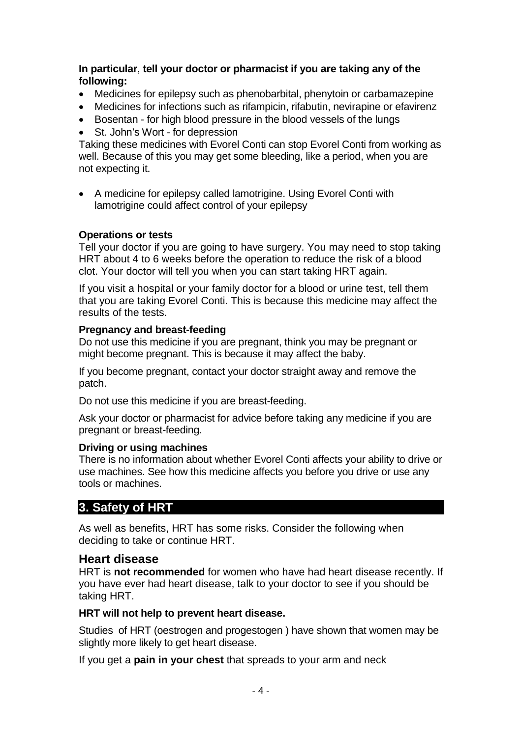#### **In particular**, **tell your doctor or pharmacist if you are taking any of the following:**

- Medicines for epilepsy such as phenobarbital, phenytoin or carbamazepine
- Medicines for infections such as rifampicin, rifabutin, nevirapine or efavirenz
- Bosentan for high blood pressure in the blood vessels of the lungs
- St. John's Wort for depression

Taking these medicines with Evorel Conti can stop Evorel Conti from working as well. Because of this you may get some bleeding, like a period, when you are not expecting it.

• A medicine for epilepsy called lamotrigine. Using Evorel Conti with lamotrigine could affect control of your epilepsy

#### **Operations or tests**

Tell your doctor if you are going to have surgery. You may need to stop taking HRT about 4 to 6 weeks before the operation to reduce the risk of a blood clot. Your doctor will tell you when you can start taking HRT again.

If you visit a hospital or your family doctor for a blood or urine test, tell them that you are taking Evorel Conti. This is because this medicine may affect the results of the tests.

#### **Pregnancy and breast-feeding**

Do not use this medicine if you are pregnant, think you may be pregnant or might become pregnant. This is because it may affect the baby.

If you become pregnant, contact your doctor straight away and remove the patch.

Do not use this medicine if you are breast-feeding.

Ask your doctor or pharmacist for advice before taking any medicine if you are pregnant or breast-feeding.

## **Driving or using machines**

There is no information about whether Evorel Conti affects your ability to drive or use machines. See how this medicine affects you before you drive or use any tools or machines.

# **3. Safety of HRT**

As well as benefits, HRT has some risks. Consider the following when deciding to take or continue HRT.

# **Heart disease**

HRT is **not recommended** for women who have had heart disease recently. If you have ever had heart disease, talk to your doctor to see if you should be taking HRT.

## **HRT will not help to prevent heart disease.**

Studies of HRT (oestrogen and progestogen ) have shown that women may be slightly more likely to get heart disease.

If you get a **pain in your chest** that spreads to your arm and neck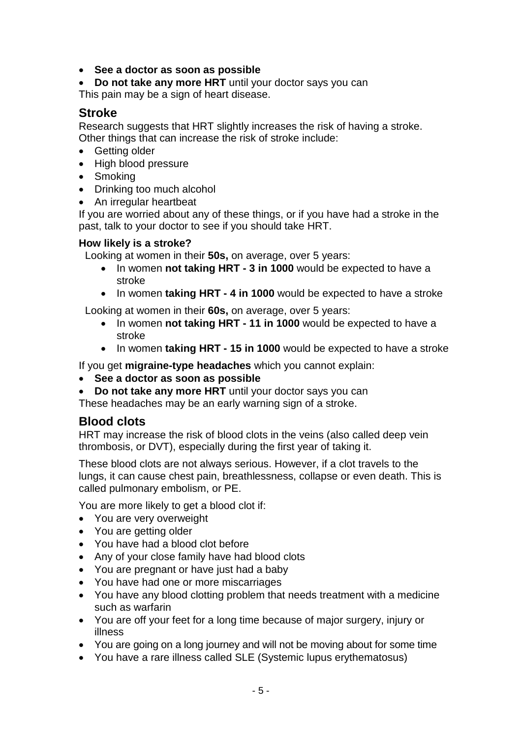- **See a doctor as soon as possible**
- **Do not take any more HRT** until your doctor says you can This pain may be a sign of heart disease.

# **Stroke**

Research suggests that HRT slightly increases the risk of having a stroke. Other things that can increase the risk of stroke include:

- Getting older
- High blood pressure
- Smoking
- Drinking too much alcohol
- An irregular heartbeat

If you are worried about any of these things, or if you have had a stroke in the past, talk to your doctor to see if you should take HRT.

#### **How likely is a stroke?**

Looking at women in their **50s,** on average, over 5 years:

- In women **not taking HRT - 3 in 1000** would be expected to have a stroke
- In women **taking HRT - 4 in 1000** would be expected to have a stroke

Looking at women in their **60s,** on average, over 5 years:

- In women **not taking HRT - 11 in 1000** would be expected to have a stroke
- In women **taking HRT - 15 in 1000** would be expected to have a stroke

If you get **migraine-type headaches** which you cannot explain:

- **See a doctor as soon as possible**
- **Do not take any more HRT** until your doctor says you can

These headaches may be an early warning sign of a stroke.

# **Blood clots**

HRT may increase the risk of blood clots in the veins (also called deep vein thrombosis, or DVT), especially during the first year of taking it.

These blood clots are not always serious. However, if a clot travels to the lungs, it can cause chest pain, breathlessness, collapse or even death. This is called pulmonary embolism, or PE.

You are more likely to get a blood clot if:

- You are very overweight
- You are getting older
- You have had a blood clot before
- Any of your close family have had blood clots
- You are pregnant or have just had a baby
- You have had one or more miscarriages
- You have any blood clotting problem that needs treatment with a medicine such as warfarin
- You are off your feet for a long time because of major surgery, injury or illness
- You are going on a long journey and will not be moving about for some time
- You have a rare illness called SLE (Systemic lupus erythematosus)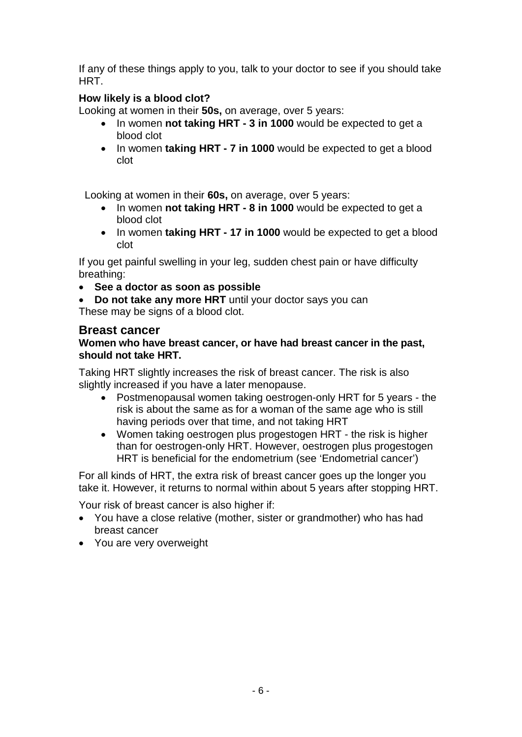If any of these things apply to you, talk to your doctor to see if you should take HRT.

# **How likely is a blood clot?**

Looking at women in their **50s,** on average, over 5 years:

- In women **not taking HRT - 3 in 1000** would be expected to get a blood clot
- In women **taking HRT - 7 in 1000** would be expected to get a blood clot

Looking at women in their **60s,** on average, over 5 years:

- In women **not taking HRT - 8 in 1000** would be expected to get a blood clot
- In women **taking HRT - 17 in 1000** would be expected to get a blood clot

If you get painful swelling in your leg, sudden chest pain or have difficulty breathing:

• **See a doctor as soon as possible**

• **Do not take any more HRT** until your doctor says you can These may be signs of a blood clot.

# **Breast cancer**

#### **Women who have breast cancer, or have had breast cancer in the past, should not take HRT.**

Taking HRT slightly increases the risk of breast cancer. The risk is also slightly increased if you have a later menopause.

- Postmenopausal women taking oestrogen-only HRT for 5 years the risk is about the same as for a woman of the same age who is still having periods over that time, and not taking HRT
- Women taking oestrogen plus progestogen HRT the risk is higher than for oestrogen-only HRT. However, oestrogen plus progestogen HRT is beneficial for the endometrium (see 'Endometrial cancer')

For all kinds of HRT, the extra risk of breast cancer goes up the longer you take it. However, it returns to normal within about 5 years after stopping HRT.

Your risk of breast cancer is also higher if:

- You have a close relative (mother, sister or grandmother) who has had breast cancer
- You are very overweight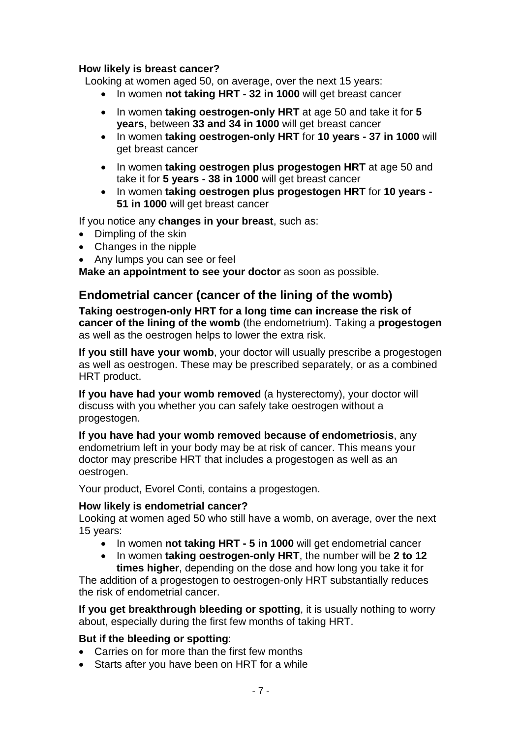## **How likely is breast cancer?**

Looking at women aged 50, on average, over the next 15 years:

- In women **not taking HRT - 32 in 1000** will get breast cancer
- In women **taking oestrogen-only HRT** at age 50 and take it for **5 years**, between **33 and 34 in 1000** will get breast cancer
- In women **taking oestrogen-only HRT** for **10 years - 37 in 1000** will get breast cancer
- In women **taking oestrogen plus progestogen HRT** at age 50 and take it for **5 years - 38 in 1000** will get breast cancer
- In women **taking oestrogen plus progestogen HRT** for **10 years - 51 in 1000** will get breast cancer

If you notice any **changes in your breast**, such as:

- Dimpling of the skin
- Changes in the nipple
- Any lumps you can see or feel

**Make an appointment to see your doctor** as soon as possible.

# **Endometrial cancer (cancer of the lining of the womb)**

**Taking oestrogen-only HRT for a long time can increase the risk of cancer of the lining of the womb** (the endometrium). Taking a **progestogen** as well as the oestrogen helps to lower the extra risk.

**If you still have your womb**, your doctor will usually prescribe a progestogen as well as oestrogen. These may be prescribed separately, or as a combined HRT product.

**If you have had your womb removed** (a hysterectomy), your doctor will discuss with you whether you can safely take oestrogen without a progestogen.

**If you have had your womb removed because of endometriosis**, any endometrium left in your body may be at risk of cancer. This means your doctor may prescribe HRT that includes a progestogen as well as an oestrogen.

Your product, Evorel Conti, contains a progestogen.

#### **How likely is endometrial cancer?**

Looking at women aged 50 who still have a womb, on average, over the next 15 years:

- In women **not taking HRT - 5 in 1000** will get endometrial cancer
- In women **taking oestrogen-only HRT**, the number will be **2 to 12 times higher**, depending on the dose and how long you take it for

The addition of a progestogen to oestrogen-only HRT substantially reduces the risk of endometrial cancer.

**If you get breakthrough bleeding or spotting**, it is usually nothing to worry about, especially during the first few months of taking HRT.

#### **But if the bleeding or spotting**:

- Carries on for more than the first few months
- Starts after you have been on HRT for a while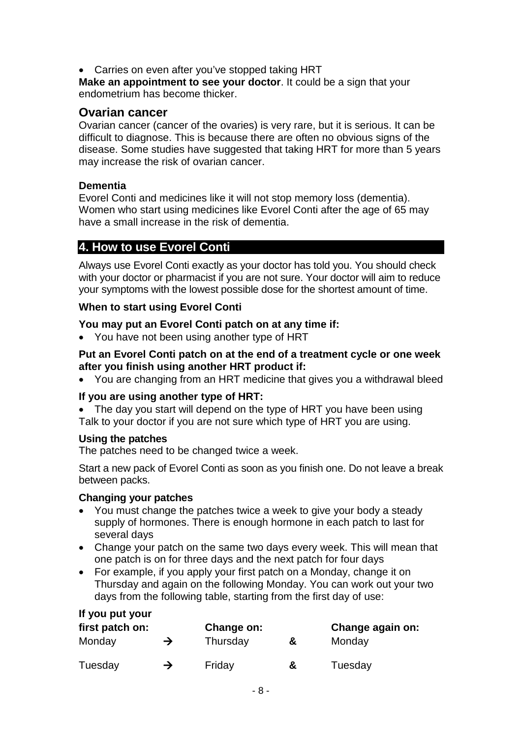• Carries on even after you've stopped taking HRT

**Make an appointment to see your doctor**. It could be a sign that your endometrium has become thicker.

# **Ovarian cancer**

Ovarian cancer (cancer of the ovaries) is very rare, but it is serious. It can be difficult to diagnose. This is because there are often no obvious signs of the disease. Some studies have suggested that taking HRT for more than 5 years may increase the risk of ovarian cancer.

#### **Dementia**

Evorel Conti and medicines like it will not stop memory loss (dementia). Women who start using medicines like Evorel Conti after the age of 65 may have a small increase in the risk of dementia.

# **4. How to use Evorel Conti**

Always use Evorel Conti exactly as your doctor has told you. You should check with your doctor or pharmacist if you are not sure. Your doctor will aim to reduce your symptoms with the lowest possible dose for the shortest amount of time.

#### **When to start using Evorel Conti**

#### **You may put an Evorel Conti patch on at any time if:**

• You have not been using another type of HRT

#### **Put an Evorel Conti patch on at the end of a treatment cycle or one week after you finish using another HRT product if:**

• You are changing from an HRT medicine that gives you a withdrawal bleed

#### **If you are using another type of HRT:**

• The day you start will depend on the type of HRT you have been using Talk to your doctor if you are not sure which type of HRT you are using.

#### **Using the patches**

**If you put your** 

The patches need to be changed twice a week.

Start a new pack of Evorel Conti as soon as you finish one. Do not leave a break between packs.

#### **Changing your patches**

- You must change the patches twice a week to give your body a steady supply of hormones. There is enough hormone in each patch to last for several days
- Change your patch on the same two days every week. This will mean that one patch is on for three days and the next patch for four days
- For example, if you apply your first patch on a Monday, change it on Thursday and again on the following Monday. You can work out your two days from the following table, starting from the first day of use:

| n you put your<br>first patch on: |   | Change on: | Change again on: |         |
|-----------------------------------|---|------------|------------------|---------|
| Monday                            | → | Thursday   | &                | Monday  |
| Tuesday                           | → | Friday     | &                | Tuesday |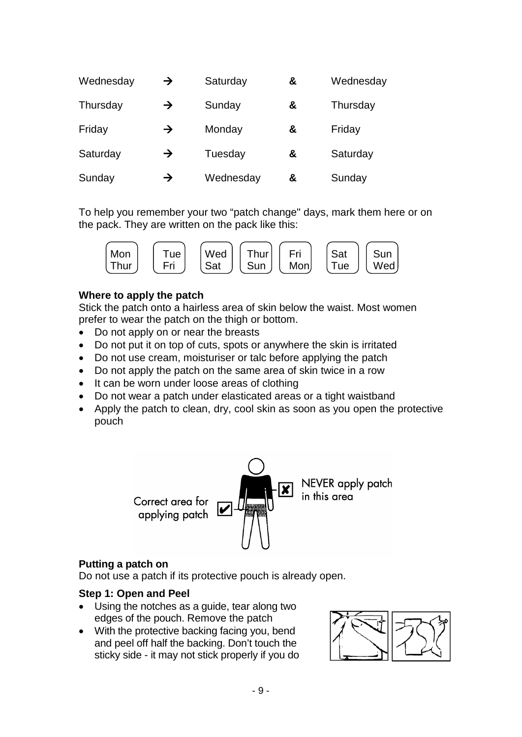| Wednesday | $\rightarrow$ | Saturday  | & | Wednesday |
|-----------|---------------|-----------|---|-----------|
| Thursday  | $\rightarrow$ | Sunday    | & | Thursday  |
| Friday    | $\rightarrow$ | Monday    | & | Friday    |
| Saturday  | $\rightarrow$ | Tuesday   | & | Saturday  |
| Sunday    | $\rightarrow$ | Wednesday | & | Sunday    |

To help you remember your two "patch change" days, mark them here or on the pack. They are written on the pack like this:



#### **Where to apply the patch**

Stick the patch onto a hairless area of skin below the waist. Most women prefer to wear the patch on the thigh or bottom.

- Do not apply on or near the breasts
- Do not put it on top of cuts, spots or anywhere the skin is irritated
- Do not use cream, moisturiser or talc before applying the patch
- Do not apply the patch on the same area of skin twice in a row
- It can be worn under loose areas of clothing
- Do not wear a patch under elasticated areas or a tight waistband
- Apply the patch to clean, dry, cool skin as soon as you open the protective pouch



#### **Putting a patch on**

Do not use a patch if its protective pouch is already open.

#### **Step 1: Open and Peel**

- Using the notches as a guide, tear along two edges of the pouch. Remove the patch
- With the protective backing facing you, bend and peel off half the backing. Don't touch the sticky side - it may not stick properly if you do

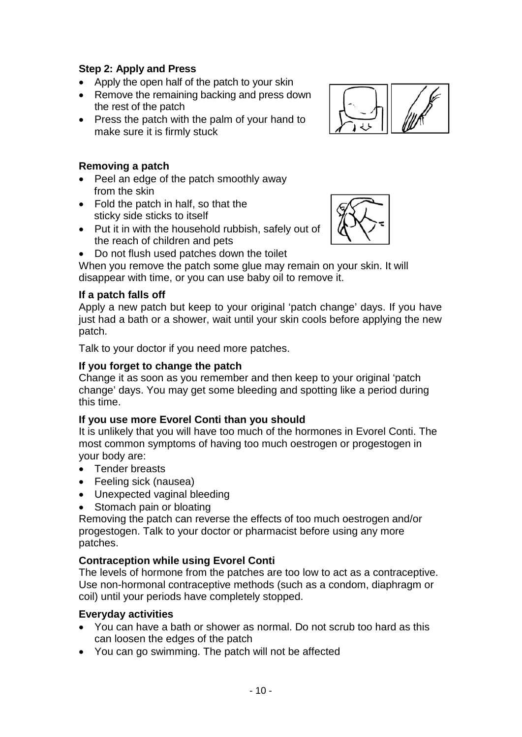# **Step 2: Apply and Press**

- Apply the open half of the patch to your skin
- Remove the remaining backing and press down the rest of the patch
- Press the patch with the palm of your hand to make sure it is firmly stuck

# **Removing a patch**

- Peel an edge of the patch smoothly away from the skin
- Fold the patch in half, so that the sticky side sticks to itself
- Put it in with the household rubbish, safely out of the reach of children and pets
- Do not flush used patches down the toilet

When you remove the patch some glue may remain on your skin. It will disappear with time, or you can use baby oil to remove it.

## **If a patch falls off**

Apply a new patch but keep to your original 'patch change' days. If you have just had a bath or a shower, wait until your skin cools before applying the new patch.

Talk to your doctor if you need more patches.

## **If you forget to change the patch**

Change it as soon as you remember and then keep to your original 'patch change' days. You may get some bleeding and spotting like a period during this time.

#### **If you use more Evorel Conti than you should**

It is unlikely that you will have too much of the hormones in Evorel Conti. The most common symptoms of having too much oestrogen or progestogen in your body are:

- Tender breasts
- Feeling sick (nausea)
- Unexpected vaginal bleeding
- Stomach pain or bloating

Removing the patch can reverse the effects of too much oestrogen and/or progestogen. Talk to your doctor or pharmacist before using any more patches.

#### **Contraception while using Evorel Conti**

The levels of hormone from the patches are too low to act as a contraceptive. Use non-hormonal contraceptive methods (such as a condom, diaphragm or coil) until your periods have completely stopped.

#### **Everyday activities**

- You can have a bath or shower as normal. Do not scrub too hard as this can loosen the edges of the patch
- You can go swimming. The patch will not be affected



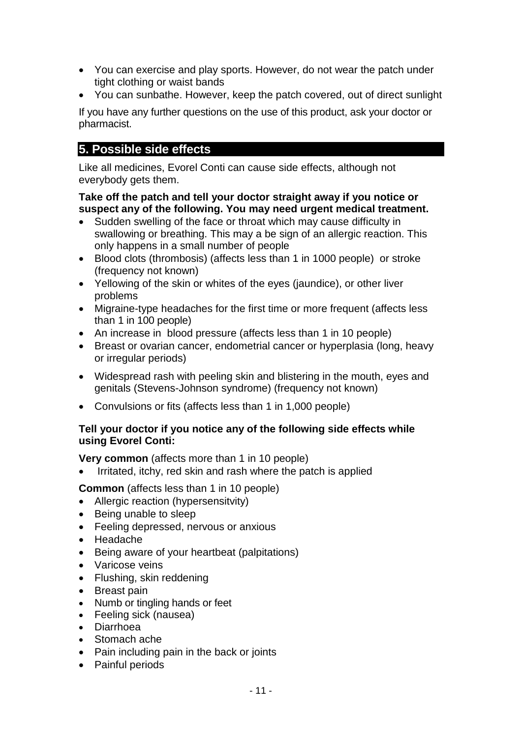- You can exercise and play sports. However, do not wear the patch under tight clothing or waist bands
- You can sunbathe. However, keep the patch covered, out of direct sunlight

If you have any further questions on the use of this product, ask your doctor or pharmacist.

# **5. Possible side effects**

Like all medicines, Evorel Conti can cause side effects, although not everybody gets them.

#### **Take off the patch and tell your doctor straight away if you notice or suspect any of the following. You may need urgent medical treatment.**

- Sudden swelling of the face or throat which may cause difficulty in swallowing or breathing. This may a be sign of an allergic reaction. This only happens in a small number of people
- Blood clots (thrombosis) (affects less than 1 in 1000 people) or stroke (frequency not known)
- Yellowing of the skin or whites of the eyes (jaundice), or other liver problems
- Migraine-type headaches for the first time or more frequent (affects less than 1 in 100 people)
- An increase in blood pressure (affects less than 1 in 10 people)
- Breast or ovarian cancer, endometrial cancer or hyperplasia (long, heavy or irregular periods)
- Widespread rash with peeling skin and blistering in the mouth, eyes and genitals (Stevens-Johnson syndrome) (frequency not known)
- Convulsions or fits (affects less than 1 in 1,000 people)

## **Tell your doctor if you notice any of the following side effects while using Evorel Conti:**

**Very common** (affects more than 1 in 10 people)

• Irritated, itchy, red skin and rash where the patch is applied

**Common** (affects less than 1 in 10 people)

- Allergic reaction (hypersensitvity)
- Being unable to sleep
- Feeling depressed, nervous or anxious
- Headache
- Being aware of your heartbeat (palpitations)
- Varicose veins
- Flushing, skin reddening
- Breast pain
- Numb or tingling hands or feet
- Feeling sick (nausea)
- Diarrhoea
- Stomach ache
- Pain including pain in the back or joints
- Painful periods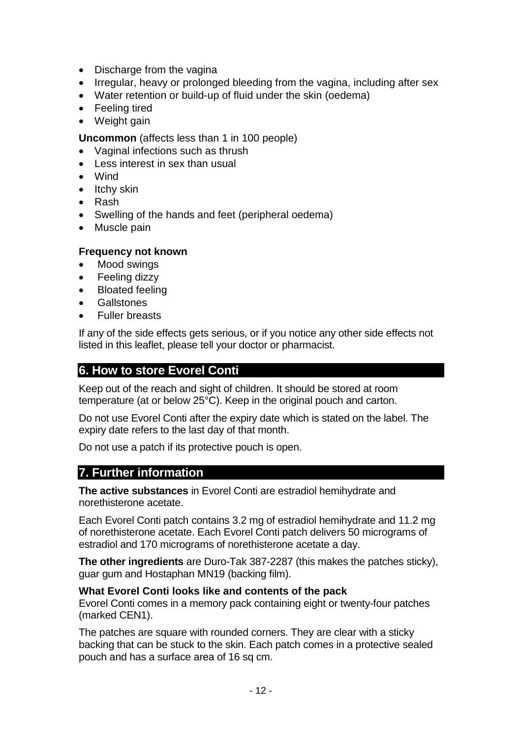- Discharge from the vagina
- Irregular, heavy or prolonged bleeding from the vagina, including after sex
- Water retention or build-up of fluid under the skin (oedema)
- Feeling tired
- Weight gain

**Uncommon** (affects less than 1 in 100 people)

- Vaginal infections such as thrush
- Less interest in sex than usual
- Wind
- Itchy skin
- Rash
- Swelling of the hands and feet (peripheral oedema)
- Muscle pain

## **Frequency not known**

- Mood swings
- Feeling dizzy
- Bloated feeling
- **Gallstones**
- Fuller breasts

If any of the side effects gets serious, or if you notice any other side effects not listed in this leaflet, please tell your doctor or pharmacist.

# **6. How to store Evorel Conti**

Keep out of the reach and sight of children. It should be stored at room temperature (at or below 25°C). Keep in the original pouch and carton.

Do not use Evorel Conti after the expiry date which is stated on the label. The expiry date refers to the last day of that month.

Do not use a patch if its protective pouch is open.

# **7. Further information**

**The active substances** in Evorel Conti are estradiol hemihydrate and norethisterone acetate.

Each Evorel Conti patch contains 3.2 mg of estradiol hemihydrate and 11.2 mg of norethisterone acetate. Each Evorel Conti patch delivers 50 micrograms of estradiol and 170 micrograms of norethisterone acetate a day.

**The other ingredients** are Duro-Tak 387-2287 (this makes the patches sticky), guar gum and Hostaphan MN19 (backing film).

## **What Evorel Conti looks like and contents of the pack**

Evorel Conti comes in a memory pack containing eight or twenty-four patches (marked CEN1).

The patches are square with rounded corners. They are clear with a sticky backing that can be stuck to the skin. Each patch comes in a protective sealed pouch and has a surface area of 16 sq cm.